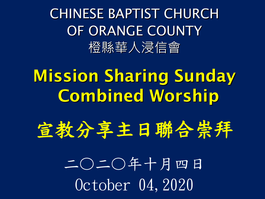CHINESE BAPTIST CHURCH OF ORANGE COUNTY 橙縣華人浸信會

### Mission Sharing Sunday Combined Worship

宣教分享主日聯合崇拜

二〇二〇年十月四日 October 04,2020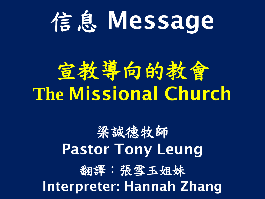# 信息 Message

## 宣教導向的教會 **The** Missional Church

### 梁誠德牧師 Pastor Tony Leung 翻譯:張雪玉姐妹 Interpreter: Hannah Zhang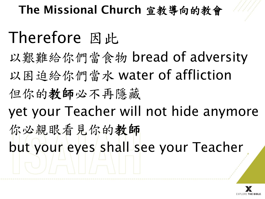#### The Missional Church 宣教導向的教會

### Therefore 因此

以艱難給你們當食物 bread of adversity

以困迫給你們當水 water of affliction

但你的教師必不再隱藏

yet your Teacher will not hide anymore

你必親眼看見你的教師 but your eyes shall see your Teacher

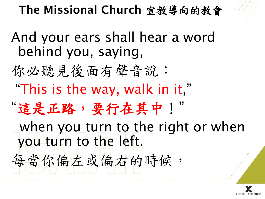

And your ears shall hear a word behind you, saying,

你必聽見後面有聲音說: "This is the way, walk in it," "這是正路,要行在其中!" when you turn to the right or when you turn to the left. 每當你偏左的時候,

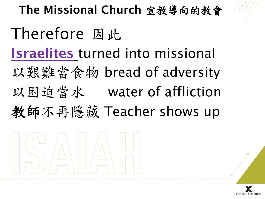## The Missional Church 宣教導向的教會 Therefore 因此 Israelites turned into missional 以艱難當食物 bread of adversity 以困迫當水 water of affliction 教師不再隱藏 Teacher shows up



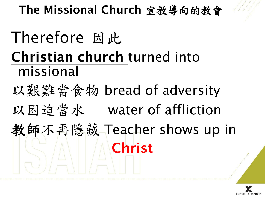#### The Missional Church 宣教導向的教會

## Therefore 因此 Christian church turned into missional 以艱難當食物 bread of adversity 以困迫當水 water of affliction 教師不再隱藏 Teacher shows up in Christ

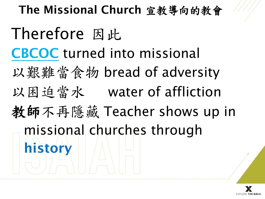The Missional Church 宣教導向的教會 Therefore 因此 CBCOC turned into missional 以艱難當食物 bread of adversity 以困迫當水 water of affliction 教師不再隱藏 Teacher shows up in missional churches through history